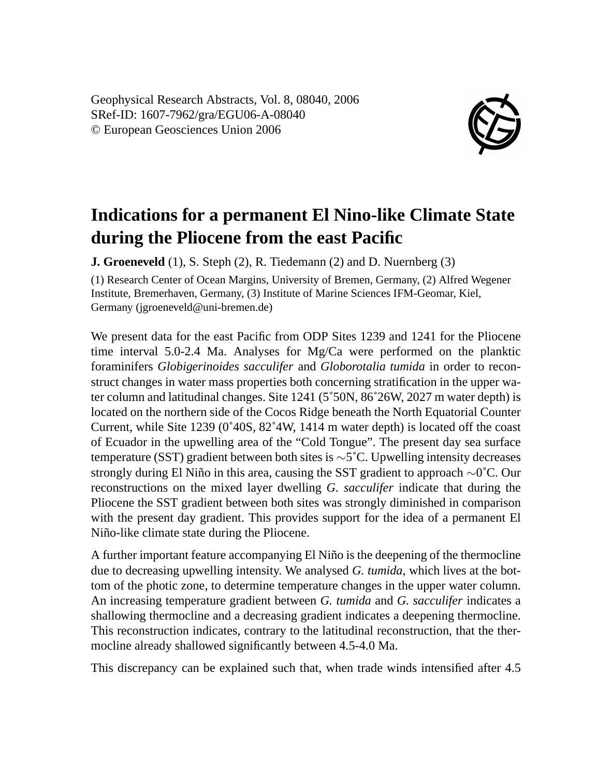Geophysical Research Abstracts, Vol. 8, 08040, 2006 SRef-ID: 1607-7962/gra/EGU06-A-08040 © European Geosciences Union 2006



## **Indications for a permanent El Nino-like Climate State during the Pliocene from the east Pacific**

**J. Groeneveld** (1), S. Steph (2), R. Tiedemann (2) and D. Nuernberg (3)

(1) Research Center of Ocean Margins, University of Bremen, Germany, (2) Alfred Wegener Institute, Bremerhaven, Germany, (3) Institute of Marine Sciences IFM-Geomar, Kiel, Germany (jgroeneveld@uni-bremen.de)

We present data for the east Pacific from ODP Sites 1239 and 1241 for the Pliocene time interval 5.0-2.4 Ma. Analyses for Mg/Ca were performed on the planktic foraminifers *Globigerinoides sacculifer* and *Globorotalia tumida* in order to reconstruct changes in water mass properties both concerning stratification in the upper water column and latitudinal changes. Site 1241 (5˚50N, 86˚26W, 2027 m water depth) is located on the northern side of the Cocos Ridge beneath the North Equatorial Counter Current, while Site 1239 (0˚40S, 82˚4W, 1414 m water depth) is located off the coast of Ecuador in the upwelling area of the "Cold Tongue". The present day sea surface temperature (SST) gradient between both sites is ∼5˚C. Upwelling intensity decreases strongly during El Niño in this area, causing the SST gradient to approach ∼0˚C. Our reconstructions on the mixed layer dwelling *G. sacculifer* indicate that during the Pliocene the SST gradient between both sites was strongly diminished in comparison with the present day gradient. This provides support for the idea of a permanent El Niño-like climate state during the Pliocene.

A further important feature accompanying El Niño is the deepening of the thermocline due to decreasing upwelling intensity. We analysed *G. tumida*, which lives at the bottom of the photic zone, to determine temperature changes in the upper water column. An increasing temperature gradient between *G. tumida* and *G. sacculifer* indicates a shallowing thermocline and a decreasing gradient indicates a deepening thermocline. This reconstruction indicates, contrary to the latitudinal reconstruction, that the thermocline already shallowed significantly between 4.5-4.0 Ma.

This discrepancy can be explained such that, when trade winds intensified after 4.5